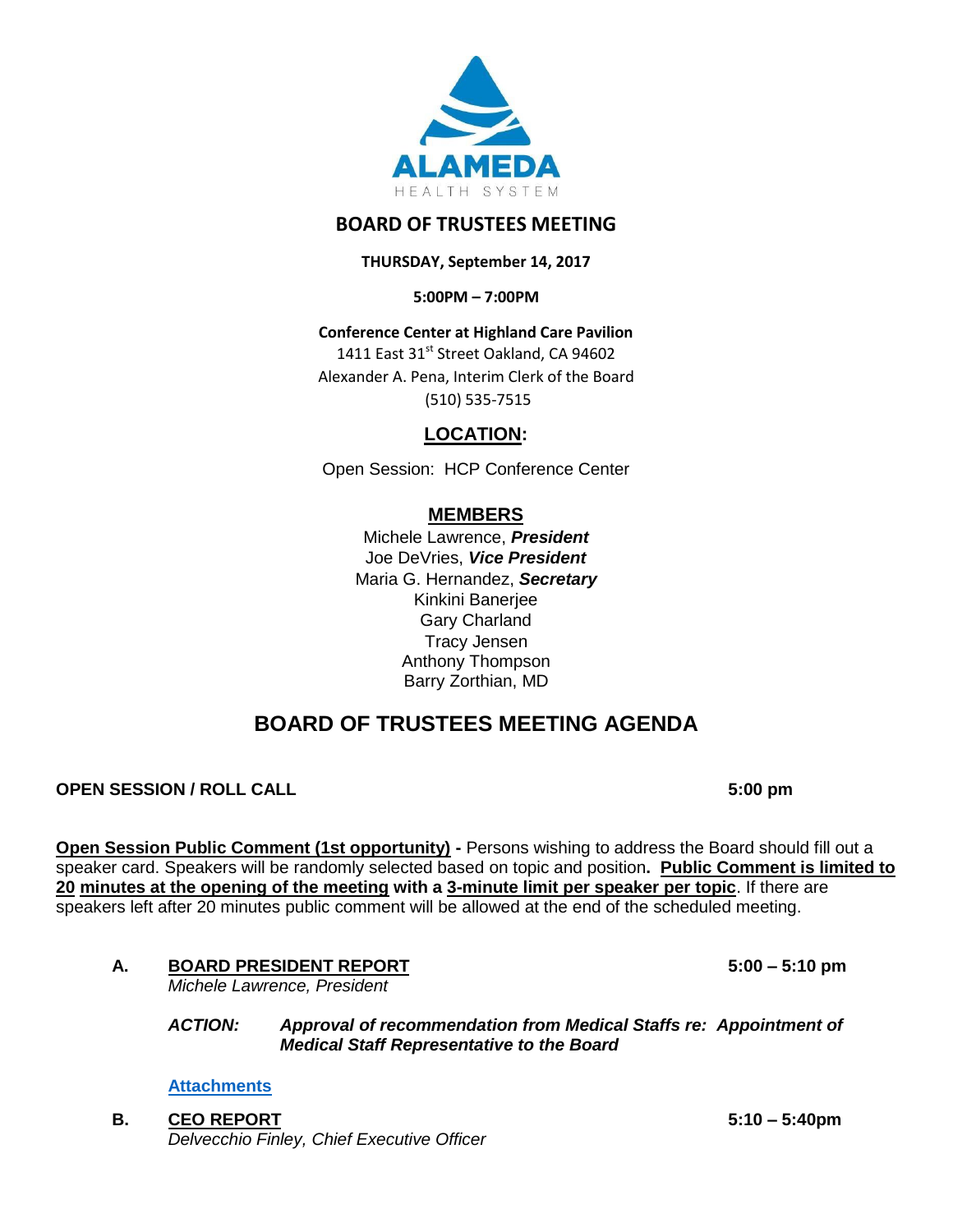

# **BOARD OF TRUSTEES MEETING**

**THURSDAY, September 14, 2017**

**5:00PM – 7:00PM**

**Conference Center at Highland Care Pavilion** 1411 East 31st Street Oakland, CA 94602 Alexander A. Pena, Interim Clerk of the Board

(510) 535-7515

# **LOCATION:**

Open Session: HCP Conference Center

# **MEMBERS**

Michele Lawrence, *President*  Joe DeVries, *Vice President*  Maria G. Hernandez, *Secretary* Kinkini Banerjee Gary Charland Tracy Jensen Anthony Thompson Barry Zorthian, MD

# **BOARD OF TRUSTEES MEETING AGENDA**

# **OPEN SESSION / ROLL CALL 6:00 pm**

**Open Session Public Comment (1st opportunity) -** Persons wishing to address the Board should fill out a speaker card. Speakers will be randomly selected based on topic and position**. Public Comment is limited to 20 minutes at the opening of the meeting with a 3-minute limit per speaker per topic**. If there are speakers left after 20 minutes public comment will be allowed at the end of the scheduled meeting.

**A. BOARD PRESIDENT REPORT 5:00 – 5:10 pm**

*Michele Lawrence, President*

*ACTION: Approval of recommendation from Medical Staffs re: Appointment of Medical Staff Representative to the Board*

**[Attachments](http://www.alamedahealthsystem.org/sites/default/files/Item%20A%20-%20Bhuket.pdf)**

**B. CEO REPORT 5:10 – 5:40pm** *Delvecchio Finley, Chief Executive Officer*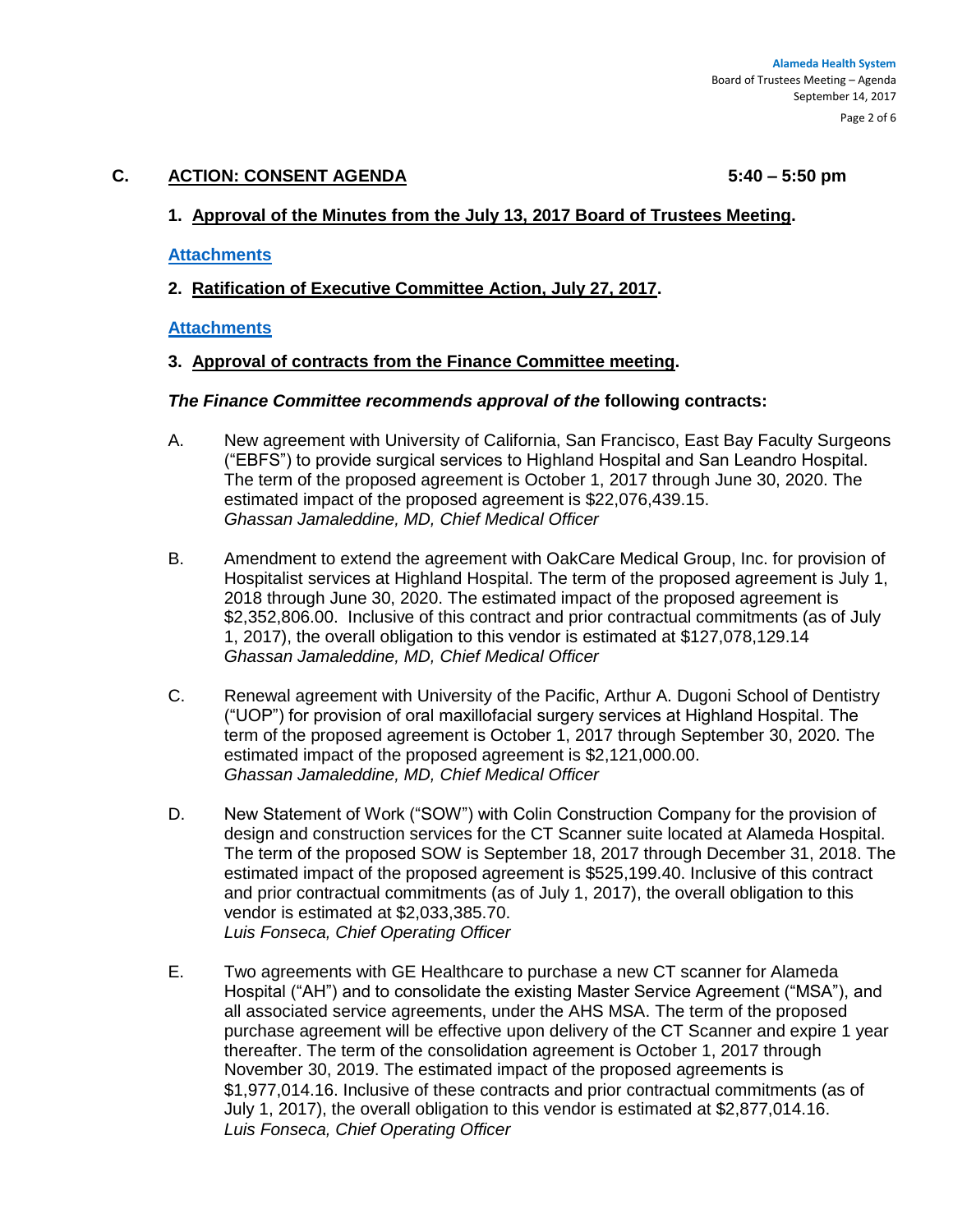# **C. ACTION: CONSENT AGENDA 5:40 – 5:50 pm**

# **1. Approval of the Minutes from the July 13, 2017 Board of Trustees Meeting.**

#### **[Attachments](http://www.alamedahealthsystem.org/sites/default/files/07132017%20BOT%20Meeting%20Minutes.pdf)**

**2. Ratification of Executive Committee Action, July 27, 2017.**

#### **[Attachments](http://www.alamedahealthsystem.org/sites/default/files/Item%20C%20%282%29%20Memo%20-%20%2009%2014%202017%20Ratification%20of%20Exec%20comm%20Action.pdf)**

#### **3. Approval of contracts from the Finance Committee meeting.**

#### *The Finance Committee recommends approval of the* **following contracts:**

- A. New agreement with University of California, San Francisco, East Bay Faculty Surgeons ("EBFS") to provide surgical services to Highland Hospital and San Leandro Hospital. The term of the proposed agreement is October 1, 2017 through June 30, 2020. The estimated impact of the proposed agreement is \$22,076,439.15. *Ghassan Jamaleddine, MD, Chief Medical Officer*
- B. Amendment to extend the agreement with OakCare Medical Group, Inc. for provision of Hospitalist services at Highland Hospital. The term of the proposed agreement is July 1, 2018 through June 30, 2020. The estimated impact of the proposed agreement is \$2,352,806.00. Inclusive of this contract and prior contractual commitments (as of July 1, 2017), the overall obligation to this vendor is estimated at \$127,078,129.14 *Ghassan Jamaleddine, MD, Chief Medical Officer*
- C. Renewal agreement with University of the Pacific, Arthur A. Dugoni School of Dentistry ("UOP") for provision of oral maxillofacial surgery services at Highland Hospital. The term of the proposed agreement is October 1, 2017 through September 30, 2020. The estimated impact of the proposed agreement is \$2,121,000.00. *Ghassan Jamaleddine, MD, Chief Medical Officer*
- D. New Statement of Work ("SOW") with Colin Construction Company for the provision of design and construction services for the CT Scanner suite located at Alameda Hospital. The term of the proposed SOW is September 18, 2017 through December 31, 2018. The estimated impact of the proposed agreement is \$525,199.40. Inclusive of this contract and prior contractual commitments (as of July 1, 2017), the overall obligation to this vendor is estimated at \$2,033,385.70. *Luis Fonseca, Chief Operating Officer*
- E. Two agreements with GE Healthcare to purchase a new CT scanner for Alameda Hospital ("AH") and to consolidate the existing Master Service Agreement ("MSA"), and all associated service agreements, under the AHS MSA. The term of the proposed purchase agreement will be effective upon delivery of the CT Scanner and expire 1 year thereafter. The term of the consolidation agreement is October 1, 2017 through November 30, 2019. The estimated impact of the proposed agreements is \$1,977,014.16. Inclusive of these contracts and prior contractual commitments (as of July 1, 2017), the overall obligation to this vendor is estimated at \$2,877,014.16. *Luis Fonseca, Chief Operating Officer*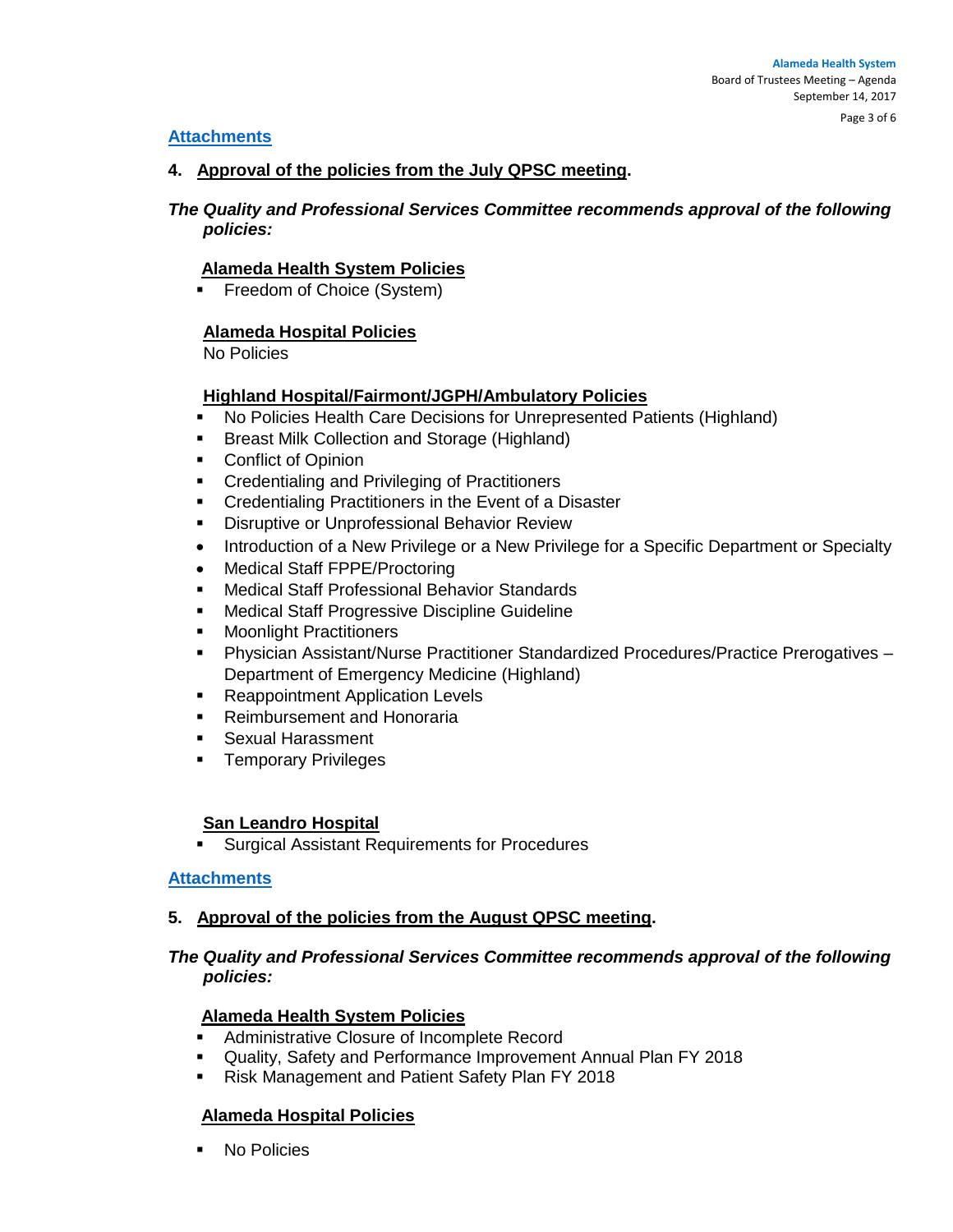## **[Attachments](http://www.alamedahealthsystem.org/sites/default/files/Item%20C%20%283%29%20-%20Contract%20Report%20FC%20SEPT%202017%20and%20summaries.pdf)**

## **4. Approval of the policies from the July QPSC meeting.**

# *The Quality and Professional Services Committee recommends approval of the following policies:*

# **Alameda Health System Policies**

**Filter Freedom of Choice (System)** 

# **Alameda Hospital Policies**

No Policies

# **Highland Hospital/Fairmont/JGPH/Ambulatory Policies**

- No Policies Health Care Decisions for Unrepresented Patients (Highland)
- **Breast Milk Collection and Storage (Highland)**
- Conflict of Opinion
- **Credentialing and Privileging of Practitioners**
- **Credentialing Practitioners in the Event of a Disaster**
- **Disruptive or Unprofessional Behavior Review**
- Introduction of a New Privilege or a New Privilege for a Specific Department or Specialty
- Medical Staff FPPE/Proctoring
- Medical Staff Professional Behavior Standards
- Medical Staff Progressive Discipline Guideline
- **Moonlight Practitioners**
- Physician Assistant/Nurse Practitioner Standardized Procedures/Practice Prerogatives Department of Emergency Medicine (Highland)
- **Reappointment Application Levels**
- **Reimbursement and Honoraria**
- **Sexual Harassment**
- **Temporary Privileges**

#### **San Leandro Hospital**

Surgical Assistant Requirements for Procedures

#### **[Attachments](http://www.alamedahealthsystem.org/sites/default/files/Item%20C%20%284%29%20-%20QPSC%20POLICIES%20JULY%202017.pdf)**

#### **5. Approval of the policies from the August QPSC meeting.**

# *The Quality and Professional Services Committee recommends approval of the following policies:*

#### **Alameda Health System Policies**

- **Administrative Closure of Incomplete Record**
- Quality, Safety and Performance Improvement Annual Plan FY 2018
- **Risk Management and Patient Safety Plan FY 2018**

# **Alameda Hospital Policies**

■ No Policies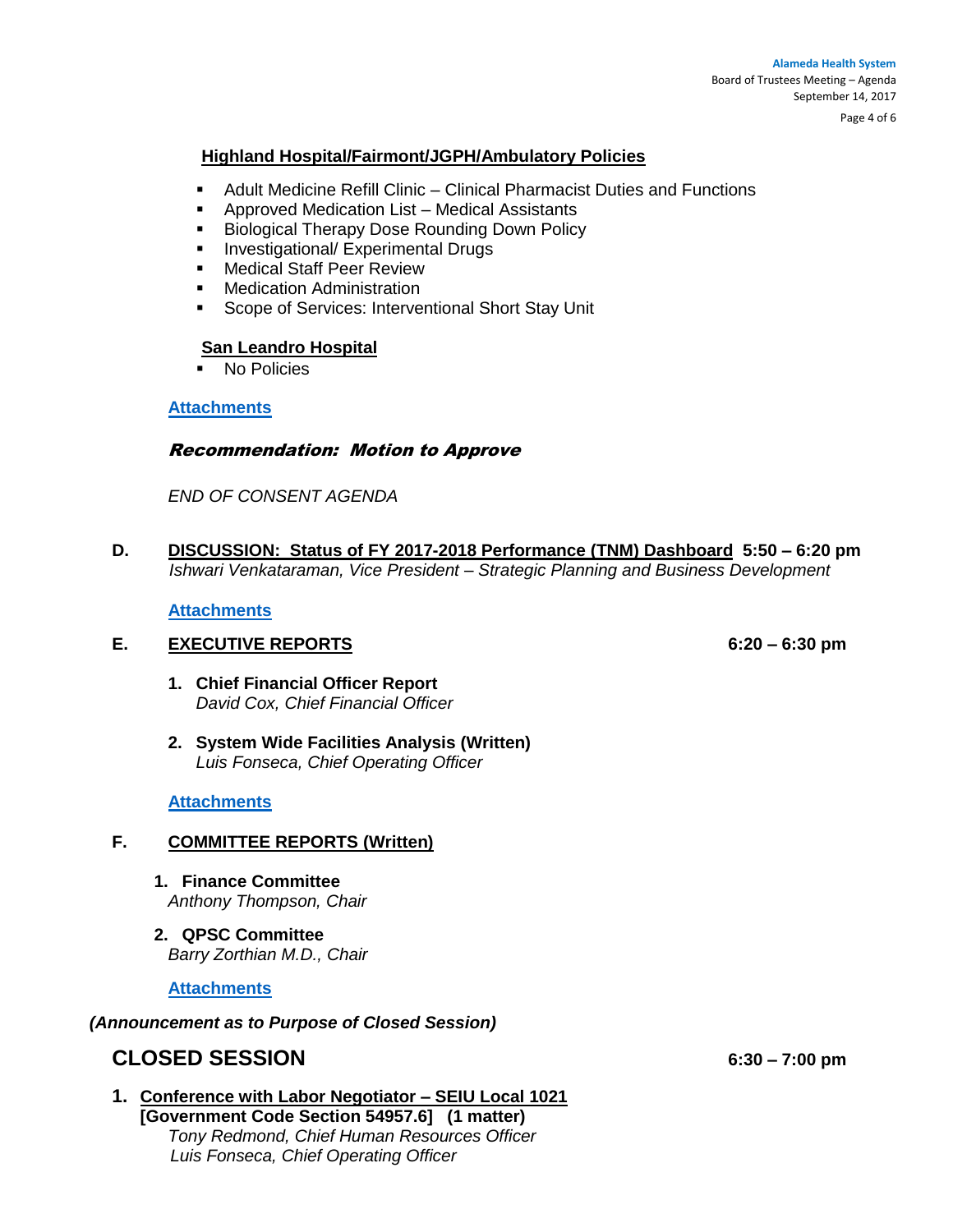Page 4 of 6

#### **Highland Hospital/Fairmont/JGPH/Ambulatory Policies**

- Adult Medicine Refill Clinic Clinical Pharmacist Duties and Functions
- Approved Medication List Medical Assistants
- **Biological Therapy Dose Rounding Down Policy**
- **Investigational/ Experimental Drugs**
- **Nedical Staff Peer Review**
- **-** Medication Administration
- **Scope of Services: Interventional Short Stay Unit**

#### **San Leandro Hospital**

 $\overline{\phantom{a}}$  No Policies

#### **[Attachments](http://www.alamedahealthsystem.org/sites/default/files/Item%20C%20%285%29%20QPSC%20POLICIES%20AUGUST%202017.pdf)**

#### Recommendation: Motion to Approve

*END OF CONSENT AGENDA*

**D. DISCUSSION: Status of FY 2017-2018 Performance (TNM) Dashboard 5:50 – 6:20 pm**  *Ishwari Venkataraman, Vice President – Strategic Planning and Business Development*

**[Attachments](http://www.alamedahealthsystem.org/sites/default/files/Item%20D%20-%20TNM.pdf)**

#### **E. EXECUTIVE REPORTS 6:20 – 6:30 pm**

- **1. Chief Financial Officer Report** *David Cox, Chief Financial Officer*
- **2. System Wide Facilities Analysis (Written)** *Luis Fonseca, Chief Operating Officer*

#### **[Attachments](http://www.alamedahealthsystem.org/sites/default/files/Item%20E%20-%20Executive%20Reports.pdf)**

#### **F. COMMITTEE REPORTS (Written)**

- **1. Finance Committee**  *Anthony Thompson, Chair*
- **2. QPSC Committee**  *Barry Zorthian M.D., Chair*

**[Attachments](http://www.alamedahealthsystem.org/sites/default/files/Item%20F%20-%20Committee%20Reports.pdf)**

#### *(Announcement as to Purpose of Closed Session)*

# **CLOSED SESSION 6:30 – 7:00 pm**

**1. Conference with Labor Negotiator – SEIU Local 1021 [Government Code Section 54957.6] (1 matter)**  *Tony Redmond, Chief Human Resources Officer Luis Fonseca, Chief Operating Officer*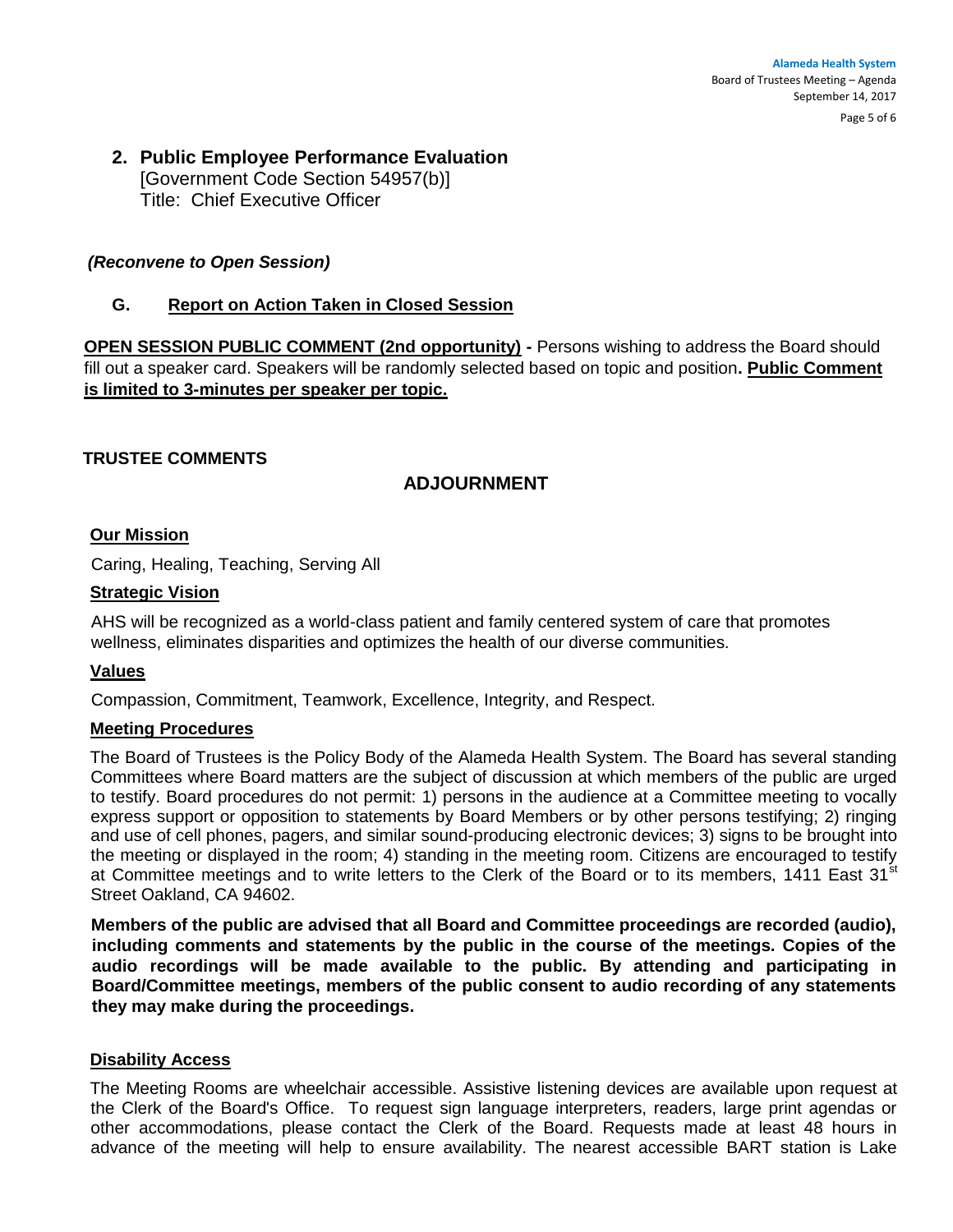#### **Alameda Health System**  Board of Trustees Meeting – Agenda September 14, 2017

Page 5 of 6

# **2. Public Employee Performance Evaluation**  [Government Code Section 54957(b)] Title: Chief Executive Officer

# *(Reconvene to Open Session)*

# **G. Report on Action Taken in Closed Session**

**OPEN SESSION PUBLIC COMMENT (2nd opportunity) - Persons wishing to address the Board should** fill out a speaker card. Speakers will be randomly selected based on topic and position**. Public Comment is limited to 3-minutes per speaker per topic.**

# **TRUSTEE COMMENTS**

# **ADJOURNMENT**

#### **Our Mission**

Caring, Healing, Teaching, Serving All

#### **Strategic Vision**

AHS will be recognized as a world-class patient and family centered system of care that promotes wellness, eliminates disparities and optimizes the health of our diverse communities.

#### **Values**

Compassion, Commitment, Teamwork, Excellence, Integrity, and Respect.

#### **Meeting Procedures**

The Board of Trustees is the Policy Body of the Alameda Health System. The Board has several standing Committees where Board matters are the subject of discussion at which members of the public are urged to testify. Board procedures do not permit: 1) persons in the audience at a Committee meeting to vocally express support or opposition to statements by Board Members or by other persons testifying; 2) ringing and use of cell phones, pagers, and similar sound-producing electronic devices; 3) signs to be brought into the meeting or displayed in the room; 4) standing in the meeting room. Citizens are encouraged to testify at Committee meetings and to write letters to the Clerk of the Board or to its members, 1411 East 31<sup>st</sup> Street Oakland, CA 94602.

**Members of the public are advised that all Board and Committee proceedings are recorded (audio), including comments and statements by the public in the course of the meetings. Copies of the audio recordings will be made available to the public. By attending and participating in Board/Committee meetings, members of the public consent to audio recording of any statements they may make during the proceedings.** 

## **Disability Access**

The Meeting Rooms are wheelchair accessible. Assistive listening devices are available upon request at the Clerk of the Board's Office. To request sign language interpreters, readers, large print agendas or other accommodations, please contact the Clerk of the Board. Requests made at least 48 hours in advance of the meeting will help to ensure availability. The nearest accessible BART station is Lake